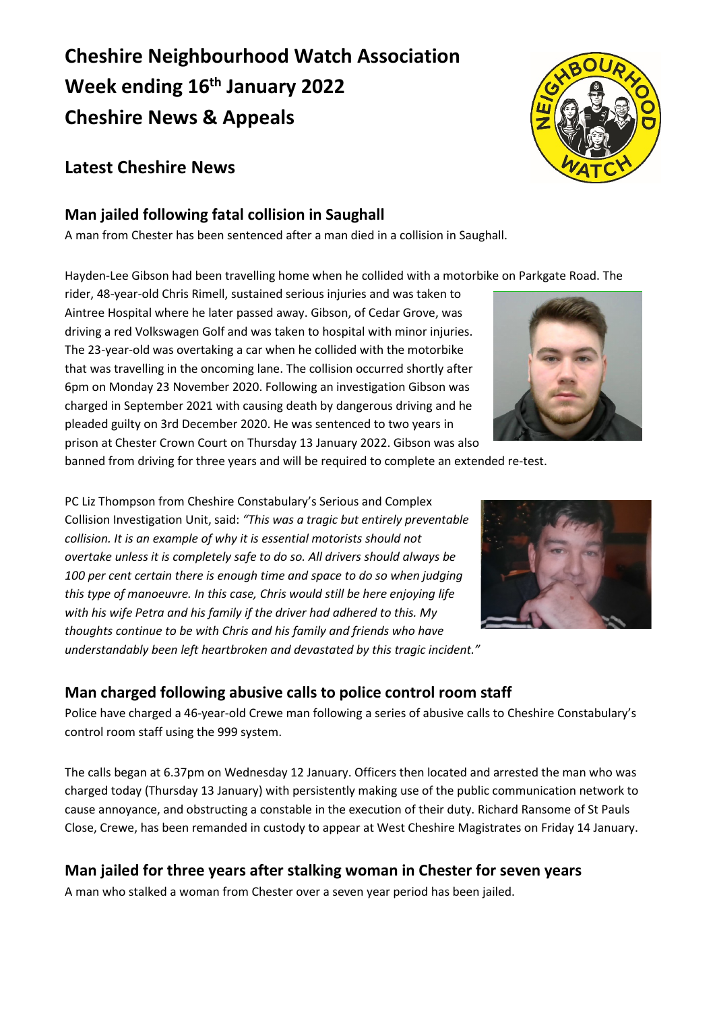# **Cheshire Neighbourhood Watch Association Week ending 16th January 2022 Cheshire News & Appeals**

# **Latest Cheshire News**

# **Man jailed following fatal collision in Saughall**

A man from Chester has been sentenced after a man died in a collision in Saughall.

Hayden-Lee Gibson had been travelling home when he collided with a motorbike on Parkgate Road. The

rider, 48-year-old Chris Rimell, sustained serious injuries and was taken to Aintree Hospital where he later passed away. Gibson, of Cedar Grove, was driving a red Volkswagen Golf and was taken to hospital with minor injuries. The 23-year-old was overtaking a car when he collided with the motorbike that was travelling in the oncoming lane. The collision occurred shortly after 6pm on Monday 23 November 2020. Following an investigation Gibson was charged in September 2021 with causing death by dangerous driving and he pleaded guilty on 3rd December 2020. He was sentenced to two years in prison at Chester Crown Court on Thursday 13 January 2022. Gibson was also

banned from driving for three years and will be required to complete an extended re-test.

PC Liz Thompson from Cheshire Constabulary's Serious and Complex Collision Investigation Unit, said: *"This was a tragic but entirely preventable collision. It is an example of why it is essential motorists should not overtake unless it is completely safe to do so. All drivers should always be 100 per cent certain there is enough time and space to do so when judging this type of manoeuvre. In this case, Chris would still be here enjoying life with his wife Petra and his family if the driver had adhered to this. My thoughts continue to be with Chris and his family and friends who have understandably been left heartbroken and devastated by this tragic incident."*

# **Man charged following abusive calls to police control room staff**

Police have charged a 46-year-old Crewe man following a series of abusive calls to Cheshire Constabulary's control room staff using the 999 system.

The calls began at 6.37pm on Wednesday 12 January. Officers then located and arrested the man who was charged today (Thursday 13 January) with persistently making use of the public communication network to cause annoyance, and obstructing a constable in the execution of their duty. Richard Ransome of St Pauls Close, Crewe, has been remanded in custody to appear at West Cheshire Magistrates on Friday 14 January.

## **Man jailed for three years after stalking woman in Chester for seven years**

A man who stalked a woman from Chester over a seven year period has been jailed.





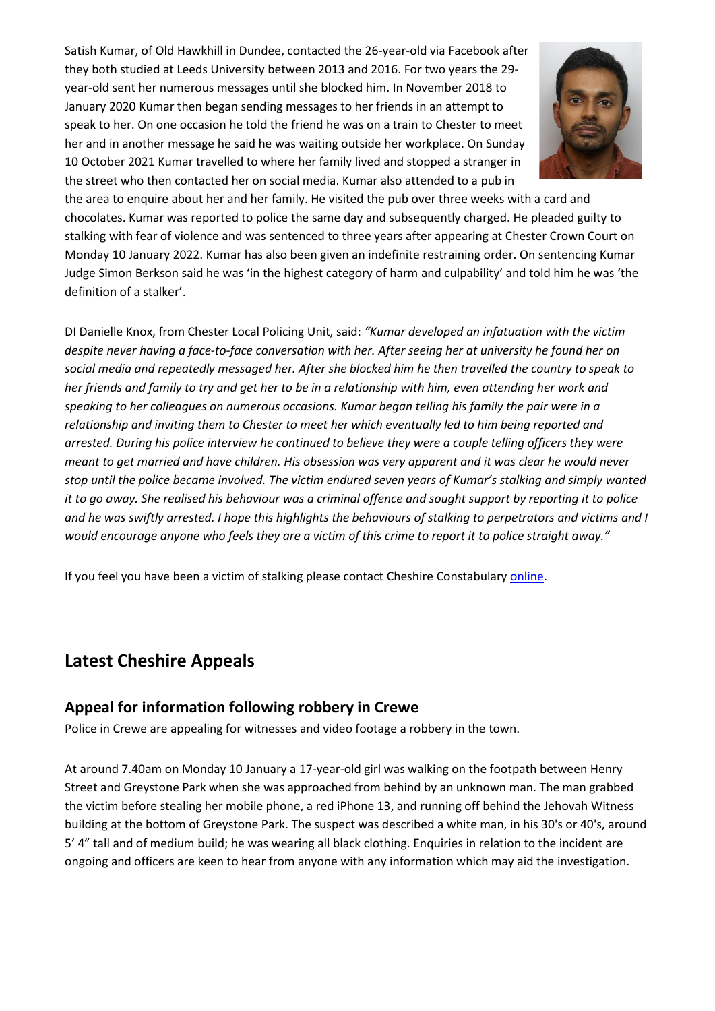Satish Kumar, of Old Hawkhill in Dundee, contacted the 26-year-old via Facebook after they both studied at Leeds University between 2013 and 2016. For two years the 29 year-old sent her numerous messages until she blocked him. In November 2018 to January 2020 Kumar then began sending messages to her friends in an attempt to speak to her. On one occasion he told the friend he was on a train to Chester to meet her and in another message he said he was waiting outside her workplace. On Sunday 10 October 2021 Kumar travelled to where her family lived and stopped a stranger in the street who then contacted her on social media. Kumar also attended to a pub in



the area to enquire about her and her family. He visited the pub over three weeks with a card and chocolates. Kumar was reported to police the same day and subsequently charged. He pleaded guilty to stalking with fear of violence and was sentenced to three years after appearing at Chester Crown Court on Monday 10 January 2022. Kumar has also been given an indefinite restraining order. On sentencing Kumar Judge Simon Berkson said he was 'in the highest category of harm and culpability' and told him he was 'the definition of a stalker'.

DI Danielle Knox, from Chester Local Policing Unit, said: *"Kumar developed an infatuation with the victim despite never having a face-to-face conversation with her. After seeing her at university he found her on social media and repeatedly messaged her. After she blocked him he then travelled the country to speak to her friends and family to try and get her to be in a relationship with him, even attending her work and speaking to her colleagues on numerous occasions. Kumar began telling his family the pair were in a relationship and inviting them to Chester to meet her which eventually led to him being reported and arrested. During his police interview he continued to believe they were a couple telling officers they were meant to get married and have children. His obsession was very apparent and it was clear he would never stop until the police became involved. The victim endured seven years of Kumar's stalking and simply wanted it to go away. She realised his behaviour was a criminal offence and sought support by reporting it to police and he was swiftly arrested. I hope this highlights the behaviours of stalking to perpetrators and victims and I would encourage anyone who feels they are a victim of this crime to report it to police straight away."*

If you feel you have been a victim of stalking please contact Cheshire Constabulary [online.](https://www.cheshire.police.uk/)

## **Latest Cheshire Appeals**

#### **Appeal for information following robbery in Crewe**

Police in Crewe are appealing for witnesses and video footage a robbery in the town.

At around 7.40am on Monday 10 January a 17-year-old girl was walking on the footpath between Henry Street and Greystone Park when she was approached from behind by an unknown man. The man grabbed the victim before stealing her mobile phone, a red iPhone 13, and running off behind the Jehovah Witness building at the bottom of Greystone Park. The suspect was described a white man, in his 30's or 40's, around 5' 4" tall and of medium build; he was wearing all black clothing. Enquiries in relation to the incident are ongoing and officers are keen to hear from anyone with any information which may aid the investigation.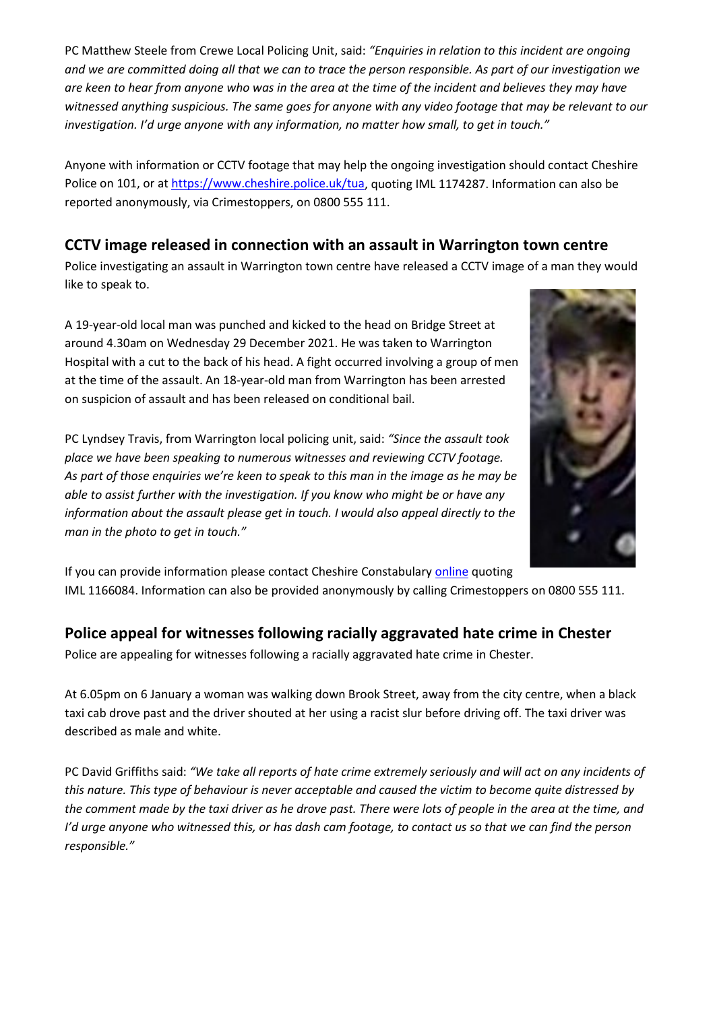PC Matthew Steele from Crewe Local Policing Unit, said: *"Enquiries in relation to this incident are ongoing and we are committed doing all that we can to trace the person responsible. As part of our investigation we are keen to hear from anyone who was in the area at the time of the incident and believes they may have witnessed anything suspicious. The same goes for anyone with any video footage that may be relevant to our investigation. I'd urge anyone with any information, no matter how small, to get in touch."*

Anyone with information or CCTV footage that may help the ongoing investigation should contact Cheshire Police on 101, or a[t https://www.cheshire.police.uk/tua,](https://www.cheshire.police.uk/tua) quoting IML 1174287. Information can also be reported anonymously, via Crimestoppers, on 0800 555 111.

## **CCTV image released in connection with an assault in Warrington town centre**

Police investigating an assault in Warrington town centre have released a CCTV image of a man they would like to speak to.

A 19-year-old local man was punched and kicked to the head on Bridge Street at around 4.30am on Wednesday 29 December 2021. He was taken to Warrington Hospital with a cut to the back of his head. A fight occurred involving a group of men at the time of the assault. An 18-year-old man from Warrington has been arrested on suspicion of assault and has been released on conditional bail.

PC Lyndsey Travis, from Warrington local policing unit, said: *"Since the assault took place we have been speaking to numerous witnesses and reviewing CCTV footage. As part of those enquiries we're keen to speak to this man in the image as he may be able to assist further with the investigation. If you know who might be or have any information about the assault please get in touch. I would also appeal directly to the man in the photo to get in touch."*



If you can provide information please contact Cheshire Constabulary [online](https://www.cheshire.police.uk/) quoting IML 1166084. Information can also be provided anonymously by calling Crimestoppers on 0800 555 111.

### **Police appeal for witnesses following racially aggravated hate crime in Chester**

Police are appealing for witnesses following a racially aggravated hate crime in Chester.

At 6.05pm on 6 January a woman was walking down Brook Street, away from the city centre, when a black taxi cab drove past and the driver shouted at her using a racist slur before driving off. The taxi driver was described as male and white.

PC David Griffiths said: *"We take all reports of hate crime extremely seriously and will act on any incidents of this nature. This type of behaviour is never acceptable and caused the victim to become quite distressed by the comment made by the taxi driver as he drove past. There were lots of people in the area at the time, and I'd urge anyone who witnessed this, or has dash cam footage, to contact us so that we can find the person responsible."*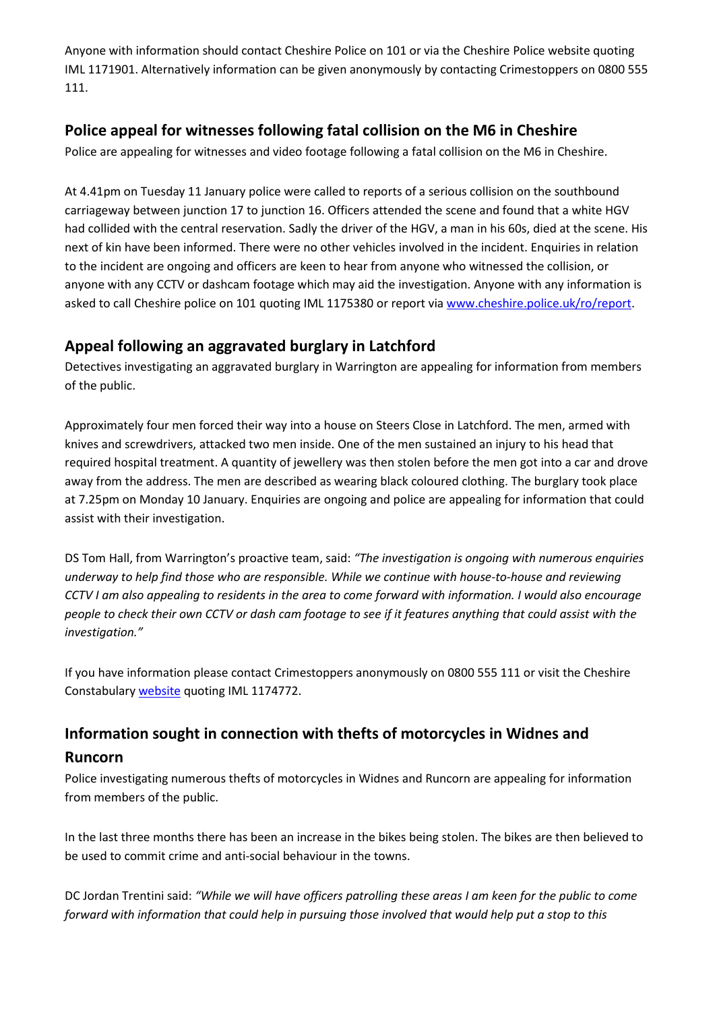Anyone with information should contact Cheshire Police on 101 or via the Cheshire Police website quoting IML 1171901. Alternatively information can be given anonymously by contacting Crimestoppers on 0800 555 111.

#### **Police appeal for witnesses following fatal collision on the M6 in Cheshire**

Police are appealing for witnesses and video footage following a fatal collision on the M6 in Cheshire.

At 4.41pm on Tuesday 11 January police were called to reports of a serious collision on the southbound carriageway between junction 17 to junction 16. Officers attended the scene and found that a white HGV had collided with the central reservation. Sadly the driver of the HGV, a man in his 60s, died at the scene. His next of kin have been informed. There were no other vehicles involved in the incident. Enquiries in relation to the incident are ongoing and officers are keen to hear from anyone who witnessed the collision, or anyone with any CCTV or dashcam footage which may aid the investigation. Anyone with any information is asked to call Cheshire police on 101 quoting IML 1175380 or report via [www.cheshire.police.uk/ro/report.](http://www.cheshire.police.uk/ro/report)

### **Appeal following an aggravated burglary in Latchford**

Detectives investigating an aggravated burglary in Warrington are appealing for information from members of the public.

Approximately four men forced their way into a house on Steers Close in Latchford. The men, armed with knives and screwdrivers, attacked two men inside. One of the men sustained an injury to his head that required hospital treatment. A quantity of jewellery was then stolen before the men got into a car and drove away from the address. The men are described as wearing black coloured clothing. The burglary took place at 7.25pm on Monday 10 January. Enquiries are ongoing and police are appealing for information that could assist with their investigation.

DS Tom Hall, from Warrington's proactive team, said: *"The investigation is ongoing with numerous enquiries underway to help find those who are responsible. While we continue with house-to-house and reviewing CCTV I am also appealing to residents in the area to come forward with information. I would also encourage people to check their own CCTV or dash cam footage to see if it features anything that could assist with the investigation."*

If you have information please contact Crimestoppers anonymously on 0800 555 111 or visit the Cheshire Constabulary [website](https://www.cheshire.police.uk/) quoting IML 1174772.

### **Information sought in connection with thefts of motorcycles in Widnes and**

#### **Runcorn**

Police investigating numerous thefts of motorcycles in Widnes and Runcorn are appealing for information from members of the public.

In the last three months there has been an increase in the bikes being stolen. The bikes are then believed to be used to commit crime and anti-social behaviour in the towns.

DC Jordan Trentini said: *"While we will have officers patrolling these areas I am keen for the public to come forward with information that could help in pursuing those involved that would help put a stop to this*